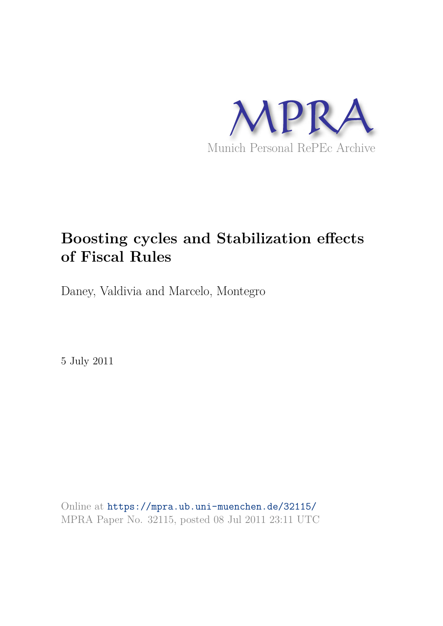

# **Boosting cycles and Stabilization effects of Fiscal Rules**

Daney, Valdivia and Marcelo, Montegro

5 July 2011

Online at https://mpra.ub.uni-muenchen.de/32115/ MPRA Paper No. 32115, posted 08 Jul 2011 23:11 UTC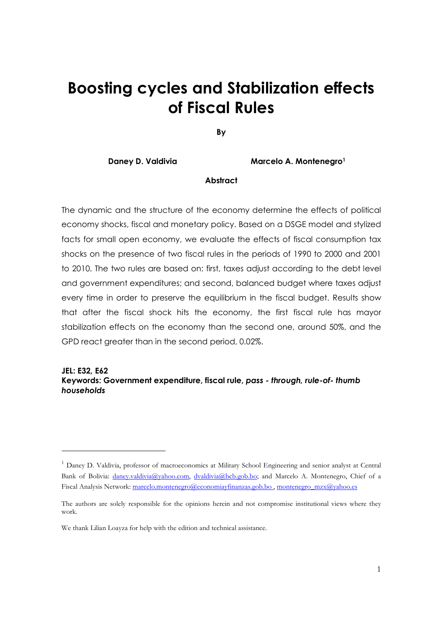# **Boosting cycles and Stabilization effects** of Fiscal Rules

By

**Daney D. Valdivia** 

Marcelo A. Montenearo<sup>1</sup>

#### **Abstract**

The dynamic and the structure of the economy determine the effects of political economy shocks, fiscal and monetary policy. Based on a DSGE model and stylized facts for small open economy, we evaluate the effects of fiscal consumption tax shocks on the presence of two fiscal rules in the periods of 1990 to 2000 and 2001 to 2010. The two rules are based on: first, taxes adjust according to the debt level and government expenditures; and second, balanced budget where taxes adjust every time in order to preserve the equilibrium in the fiscal budget. Results show that after the fiscal shock hits the economy, the first fiscal rule has mayor stabilization effects on the economy than the second one, around 50%, and the GPD react greater than in the second period, 0.02%.

#### **JEL: E32, E62**

## Keywords: Government expenditure, fiscal rule, pass - through, rule-of- thumb households

<sup>&</sup>lt;sup>1</sup> Daney D. Valdivia, professor of macroeconomics at Military School Engineering and senior analyst at Central Bank of Bolivia: daney.valdivia@yahoo.com, dvaldivia@bcb.gob.bo; and Marcelo A. Montenegro, Chief of a Fiscal Analysis Network: marcelo.montenegro@economiayfinanzas.gob.bo, montenegro mzx@yahoo.es

The authors are solely responsible for the opinions herein and not compromise institutional views where they work

We thank Lilian Loayza for help with the edition and technical assistance.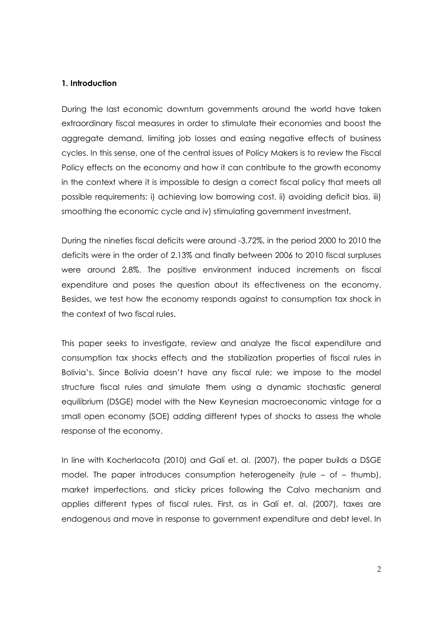#### 1. Introduction

During the last economic downturn governments around the world have taken extraordinary fiscal measures in order to stimulate their economies and boost the aggregate demand, limiting job losses and easing negative effects of business cycles. In this sense, one of the central issues of Policy Makers is to review the Fiscal Policy effects on the economy and how it can contribute to the growth economy in the context where it is impossible to design a correct fiscal policy that meets all possible requirements: i) achieving low borrowing cost, ii) avoiding deficit bias, iii) smoothing the economic cycle and iv) stimulating government investment.

During the nineties fiscal deficits were around -3.72%, in the period 2000 to 2010 the deficits were in the order of 2.13% and finally between 2006 to 2010 fiscal surpluses were around 2.8%. The positive environment induced increments on fiscal expenditure and poses the question about its effectiveness on the economy. Besides, we test how the economy responds against to consumption tax shock in the context of two fiscal rules.

This paper seeks to investigate, review and analyze the fiscal expenditure and consumption tax shocks effects and the stabilization properties of fiscal rules in Bolivia's. Since Bolivia doesn't have any fiscal rule; we impose to the model structure fiscal rules and simulate them using a dynamic stochastic general equilibrium (DSGE) model with the New Keynesian macroeconomic vintage for a small open economy (SOE) adding different types of shocks to assess the whole response of the economy.

In line with Kocherlacota (2010) and Galí et. al. (2007), the paper builds a DSGE model. The paper introduces consumption heterogeneity (rule - of - thumb), market imperfections, and sticky prices following the Calvo mechanism and applies different types of fiscal rules. First, as in Galí et. al. (2007), taxes are endogenous and move in response to government expenditure and debt level. In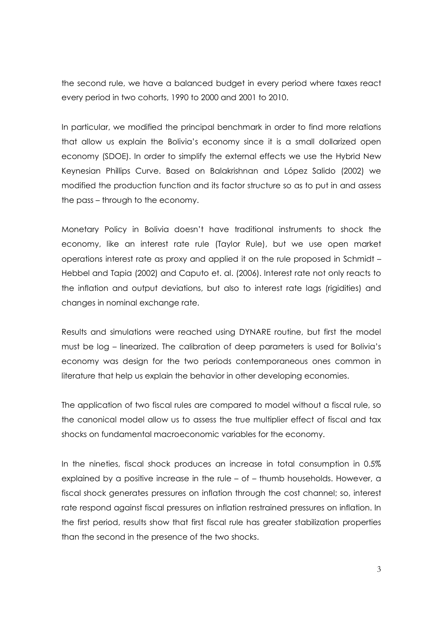the second rule, we have a balanced budget in every period where taxes react every period in two cohorts, 1990 to 2000 and 2001 to 2010.

In particular, we modified the principal benchmark in order to find more relations that allow us explain the Bolivia's economy since it is a small dollarized open economy (SDOE). In order to simplify the external effects we use the Hybrid New Keynesian Phillips Curve. Based on Balakrishnan and López Salido (2002) we modified the production function and its factor structure so as to put in and assess the pass – through to the economy.

Monetary Policy in Bolivia doesn't have traditional instruments to shock the economy, like an interest rate rule (Taylor Rule), but we use open market operations interest rate as proxy and applied it on the rule proposed in Schmidt -Hebbel and Tapia (2002) and Caputo et. al. (2006). Interest rate not only reacts to the inflation and output deviations, but also to interest rate lags (rigidities) and changes in nominal exchange rate.

Results and simulations were reached using DYNARE routine, but first the model must be log - linearized. The calibration of deep parameters is used for Bolivia's economy was design for the two periods contemporaneous ones common in literature that help us explain the behavior in other developing economies.

The application of two fiscal rules are compared to model without a fiscal rule, so the canonical model allow us to assess the true multiplier effect of fiscal and tax shocks on fundamental macroeconomic variables for the economy.

In the nineties, fiscal shock produces an increase in total consumption in 0.5% explained by a positive increase in the rule - of - thumb households. However, a fiscal shock generates pressures on inflation through the cost channel; so, interest rate respond against fiscal pressures on inflation restrained pressures on inflation. In the first period, results show that first fiscal rule has greater stabilization properties than the second in the presence of the two shocks.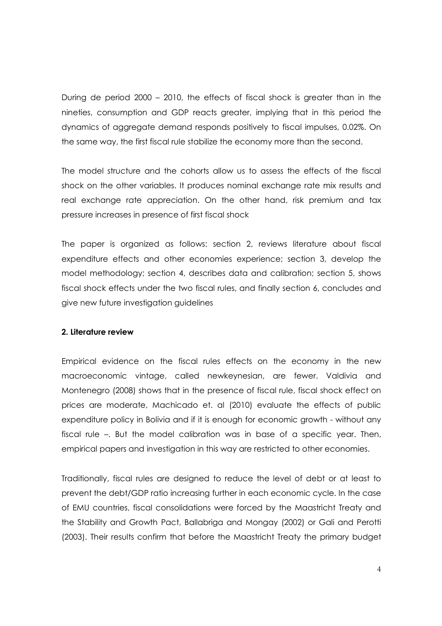During de period 2000 – 2010, the effects of fiscal shock is greater than in the nineties, consumption and GDP reacts greater, implying that in this period the dynamics of aggregate demand responds positively to fiscal impulses, 0.02%. On the same way, the first fiscal rule stabilize the economy more than the second.

The model structure and the cohorts allow us to assess the effects of the fiscal shock on the other variables. It produces nominal exchange rate mix results and real exchange rate appreciation. On the other hand, risk premium and tax pressure increases in presence of first fiscal shock

The paper is organized as follows: section 2, reviews literature about fiscal expenditure effects and other economies experience: section 3, develop the model methodology; section 4, describes data and calibration; section 5, shows fiscal shock effects under the two fiscal rules, and finally section 6, concludes and give new future investigation guidelines

# 2. Literature review

Empirical evidence on the fiscal rules effects on the economy in the new macroeconomic vintage, called newkeynesian, are fewer. Valdivia and Montenegro (2008) shows that in the presence of fiscal rule, fiscal shock effect on prices are moderate, Machicado et. al (2010) evaluate the effects of public expenditure policy in Bolivia and if it is enough for economic growth - without any fiscal rule -. But the model calibration was in base of a specific year. Then, empirical papers and investigation in this way are restricted to other economies.

Traditionally, fiscal rules are designed to reduce the level of debt or at least to prevent the debt/GDP ratio increasing further in each economic cycle. In the case of EMU countries, fiscal consolidations were forced by the Maastricht Treaty and the Stability and Growth Pact, Ballabriga and Mongay (2002) or Gali and Perotti (2003). Their results confirm that before the Maastricht Treaty the primary budget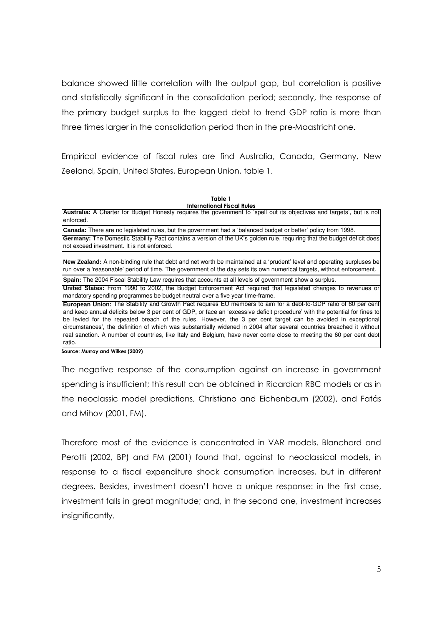balance showed little correlation with the output gap, but correlation is positive and statistically significant in the consolidation period; secondly, the response of the primary budget surplus to the lagged debt to trend GDP ratio is more than three times larger in the consolidation period than in the pre-Maastricht one.

Empirical evidence of fiscal rules are find Australia, Canada, Germany, New Zeeland, Spain, United States, European Union, table 1.

| Table 1                           |  |
|-----------------------------------|--|
| <b>International Fiscal Rules</b> |  |

Australia: A Charter for Budget Honesty requires the government to 'spell out its objectives and targets', but is not henrine

Canada: There are no legislated rules, but the government had a 'balanced budget or better' policy from 1998. Germany: The Domestic Stability Pact contains a version of the UK's golden rule, requiring that the budget deficit does not exceed investment. It is not enforced.

New Zealand: A non-binding rule that debt and net worth be maintained at a 'prudent' level and operating surpluses be run over a 'reasonable' period of time. The government of the day sets its own numerical targets, without enforcement.

Spain: The 2004 Fiscal Stability Law requires that accounts at all levels of government show a surplus.

United States: From 1990 to 2002, the Budget Enforcement Act required that legislated changes to revenues or mandatory spending programmes be budget neutral over a five year time-frame.

European Union: The Stability and Growth Pact requires EU members to aim for a debt-to-GDP ratio of 60 per cent and keep annual deficits below 3 per cent of GDP, or face an 'excessive deficit procedure' with the potential for fines to be levied for the repeated breach of the rules. However, the 3 per cent target can be avoided in exceptional circumstances', the definition of which was substantially widened in 2004 after several countries breached it without real sanction. A number of countries, like Italy and Belgium, have never come close to meeting the 60 per cent debt ratio.

Source: Murray and Wilkes (2009)

The negative response of the consumption against an increase in government spending is insufficient; this result can be obtained in Ricardian RBC models or as in the neoclassic model predictions, Christiano and Eichenbaum (2002), and Fatás and Mihov (2001, FM).

Therefore most of the evidence is concentrated in VAR models. Blanchard and Perotti (2002, BP) and FM (2001) found that, against to neoclassical models, in response to a fiscal expenditure shock consumption increases, but in different degrees. Besides, investment doesn't have a unique response: in the first case, investment falls in great magnitude; and, in the second one, investment increases insignificantly.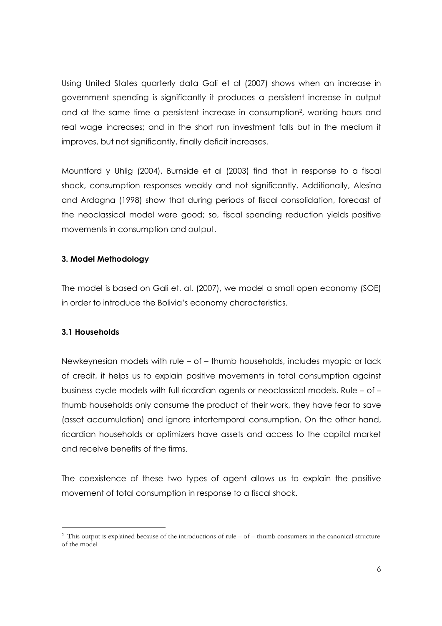Using United States quarterly data Galí et al (2007) shows when an increase in government spending is significantly it produces a persistent increase in output and at the same time a persistent increase in consumption<sup>2</sup>, working hours and real wage increases; and in the short run investment falls but in the medium it improves, but not significantly, finally deficit increases.

Mountford y Uhlig (2004), Burnside et al (2003) find that in response to a fiscal shock, consumption responses weakly and not significantly. Additionally, Alesina and Ardagna (1998) show that during periods of fiscal consolidation, forecast of the neoclassical model were good; so, fiscal spending reduction yields positive movements in consumption and output.

# 3. Model Methodology

The model is based on Gali et. al. (2007), we model a small open economy (SOE) in order to introduce the Bolivia's economy characteristics.

# 3.1 Households

Newkeynesian models with rule - of - thumb households, includes myopic or lack of credit, it helps us to explain positive movements in total consumption against business cycle models with full ricardian agents or neoclassical models. Rule - of thumb households only consume the product of their work, they have fear to save (asset accumulation) and ignore intertemporal consumption. On the other hand, ricardian households or optimizers have assets and access to the capital market and receive benefits of the firms.

The coexistence of these two types of agent allows us to explain the positive movement of total consumption in response to a fiscal shock.

 $\frac{2}{3}$  This output is explained because of the introductions of rule – of – thumb consumers in the canonical structure of the model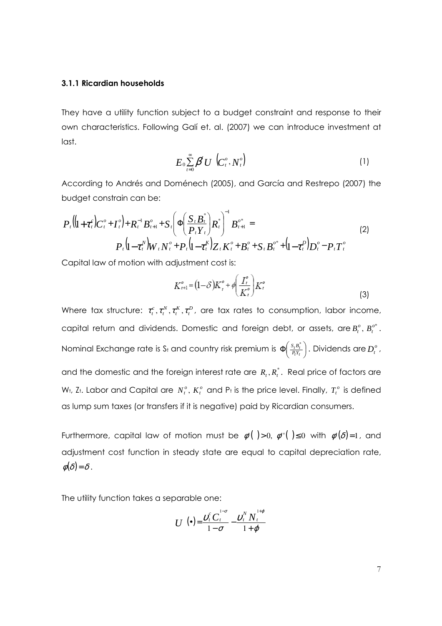#### 3.1.1 Ricardian households

They have a utility function subject to a budget constraint and response to their own characteristics. Following Gali et. al. (2007) we can introduce investment at last.

$$
E_0 \sum_{t=0}^{\infty} \beta^t U \left( C_t^o, N_t^o \right) \tag{1}
$$

According to Andrés and Doménech (2005), and García and Restrepo (2007) the budget constrain can be:

$$
P_{t}\left(\left(1+\tau_{t}^{c}\right)C_{t}^{o}+I_{t}^{o}\right)+R_{t}^{-1}B_{t+1}^{o}+S_{t}\left(\Phi\left(\frac{S_{t}B_{t}^{*}}{P_{t}Y_{t}}\right)R_{t}^{*}\right)^{-1}B_{t+1}^{o*}=\n P_{t}\left(1-\tau_{t}^{N}\right)W_{t}N_{t}^{o}+P_{t}\left(1-\tau_{t}^{K}\right)Z_{t}K_{t}^{o}+B_{t}^{o}+S_{t}B_{t}^{o*}+\left(1-\tau_{t}^{D}\right)D_{t}^{o}-P_{t}T_{t}^{o}\n\tag{2}
$$

Capital law of motion with adjustment cost is:

$$
K_{t+1}^{\circ} = (1-\delta)K_t^{\circ} + \phi \left(\frac{I_t^{\circ}}{K_t^{\circ}}\right)K_t^{\circ}
$$
\n(3)

Where tax structure:  $\tau_i^c, \tau_i^N, \tau_i^K, \tau_i^D$ , are tax rates to consumption, labor income, capital return and dividends. Domestic and foreign debt, or assets, are  $B_t^o$ ,  $B_t^{o*}$ . Nominal Exchange rate is S<sub>t</sub> and country risk premium is  $\Phi\left(\frac{S_t B_t^*}{P_t Y_t}\right)$ . Dividends are  $D_t^o$ , and the domestic and the foreign interest rate are  $R_{i}$ ,  $R_{i}^{*}$ . Real price of factors are W<sub>t</sub>, Z<sub>t</sub>. Labor and Capital are  $N_t^o$ ,  $K_t^o$  and P<sub>t</sub> is the price level. Finally,  $T_t^o$  is defined as lump sum taxes (or transfers if it is negative) paid by Ricardian consumers.

Furthermore, capital law of motion must be  $\phi'($   $) > 0$ ,  $\phi''($   $) \le 0$  with  $\phi'(\delta) = 1$ , and adiustment cost function in steady state are equal to capital depreciation rate,  $\phi(\delta) = \delta$ .

The utility function takes a separable one:

$$
U\left(\bullet\right) = \frac{\nu_t^c C_t^{1-\sigma}}{1-\sigma} - \frac{\nu_t^N N_t^{1+\varphi}}{1+\varphi}
$$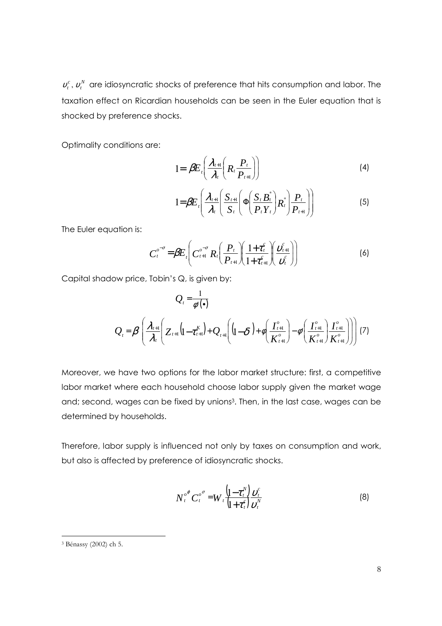$v_t^c$ ,  $v_t^N$  are idiosyncratic shocks of preference that hits consumption and labor. The taxation effect on Ricardian households can be seen in the Euler equation that is shocked by preference shocks.

Optimality conditions are:

$$
1 = \beta E_{\iota} \bigg( \frac{\lambda_{\iota+1}}{\lambda_{\iota}} \bigg( R_{\iota} \frac{P_{\iota}}{P_{\iota+1}} \bigg) \bigg) \tag{4}
$$

$$
1 = \beta E_t \left( \frac{\lambda_{t+1}}{\lambda_t} \left( \frac{S_{t+1}}{S_t} \left( \Phi \left( \frac{S_t B_t^*}{P_t Y_t} \right) R_t^* \right) \frac{P_t}{P_{t+1}} \right) \right) \tag{5}
$$

The Euler equation is:

$$
C_t^{\sigma^{-\sigma}} = \beta E_t \left( C_{t+1}^{\sigma^{-\sigma}} R_t \left( \frac{P_t}{P_{t+1}} \right) \left( \frac{1+\tau_t^c}{1+\tau_{t+1}^c} \right) \left( \frac{v_{t+1}^c}{v_t^c} \right) \right)
$$
(6)

Capital shadow price, Tobin's Q, is given by:

$$
Q_{t} = \frac{1}{\phi'(\bullet)}
$$
  

$$
Q_{t} = \beta \left( \frac{\lambda_{t+1}}{\lambda_{t}} \left( Z_{t+1} \left( 1 - \tau_{t+1}^{K} \right) + Q_{t+1} \left( 1 - \delta \right) + \phi \left( \frac{I_{t+1}^o}{K_{t+1}^o} \right) - \phi' \left( \frac{I_{t+1}^o}{K_{t+1}^o} \right) \frac{I_{t+1}^o}{K_{t+1}^o} \right) \right) (7)
$$

Moreover, we have two options for the labor market structure: first, a competitive labor market where each household choose labor supply given the market wage and; second, wages can be fixed by unions<sup>3</sup>. Then, in the last case, wages can be determined by households.

Therefore, labor supply is influenced not only by taxes on consumption and work, but also is affected by preference of idiosyncratic shocks.

$$
N_t^{\sigma^\sigma} C_t^{\sigma^\sigma} = W_t \frac{\left(1 - \tau_t^N\right)}{\left(1 + \tau_t^c\right)} \frac{\nu_t^c}{\nu_t^N}
$$
 (8)

<sup>&</sup>lt;sup>3</sup> Bénassy (2002) ch 5.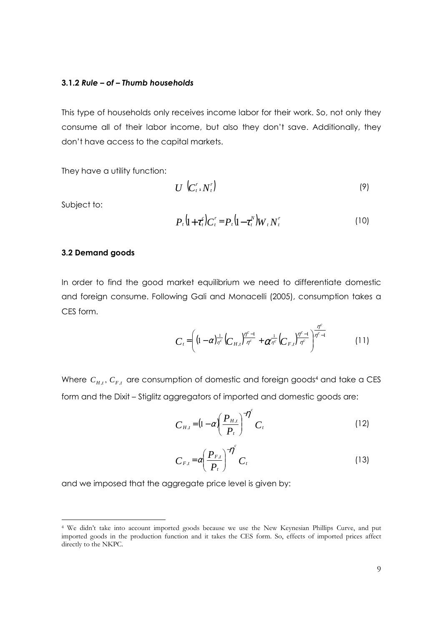#### 3.1.2 Rule – of – Thumb households

This type of households only receives income labor for their work. So, not only they consume all of their labor income, but also they don't save. Additionally, they don't have access to the capital markets.

They have a utility function:

$$
U\left(C_t^r, N_t^r\right) \tag{9}
$$

Subject to:

$$
P_t\left(1+\tau_t^c\right)C_t^r = P_t\left(1-\tau_t^N\right)W_tN_t^r\tag{10}
$$

#### 3.2 Demand goods

In order to find the good market equilibrium we need to differentiate domestic and foreign consume. Following Gali and Monacelli (2005), consumption takes a CES form.

$$
C_{t} = \left( (1 - \alpha)^{\frac{1}{\eta^{c}}} \left( C_{H,t} \right)^{\frac{\eta^{c}-1}{\eta^{c}}} + \alpha^{\frac{1}{\eta^{c}}} \left( C_{F,t} \right)^{\frac{\eta^{c}-1}{\eta^{c}}} \right)^{\frac{\eta^{c}}{\eta^{c}-1}}
$$
(11)

Where  $C_{H,t}$ ,  $C_{F,t}$  are consumption of domestic and foreign goods<sup>4</sup> and take a CES form and the Dixit - Stiglitz aggregators of imported and domestic goods are:

$$
C_{H,t} = \left(1 - \alpha \left(\frac{P_{H,t}}{P_t}\right)^{-\eta} C_t \tag{12}
$$

$$
C_{F,t} = \alpha \left(\frac{P_{F,t}}{P_t}\right)^{-\eta^c} C_t
$$
 (13)

and we imposed that the aggregate price level is given by:

<sup>&</sup>lt;sup>4</sup> We didn't take into account imported goods because we use the New Keynesian Phillips Curve, and put imported goods in the production function and it takes the CES form. So, effects of imported prices affect directly to the NKPC.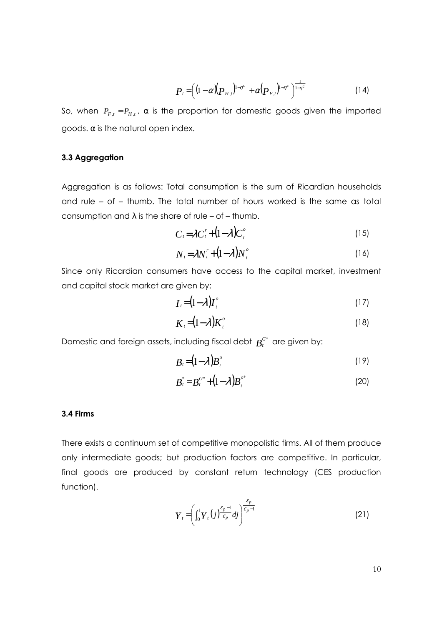$$
P_{t} = \left( (1 - \alpha) (P_{H,t})^{1 - \eta^{c}} + \alpha (P_{F,t})^{1 - \eta^{c}} \right)^{\frac{1}{1 - \eta^{c}}} \tag{14}
$$

 $\mathbf{r}$ 

So, when  $P_{F,t} = P_{H,t}$ ,  $\alpha$  is the proportion for domestic goods given the imported goods.  $\alpha$  is the natural open index.

#### 3.3 Aggregation

Aggregation is as follows: Total consumption is the sum of Ricardian households and rule - of - thumb. The total number of hours worked is the same as total consumption and  $\lambda$  is the share of rule – of – thumb.

$$
C_t = \lambda C_t^r + (1 - \lambda) C_t^o \tag{15}
$$

$$
N_t = \lambda N_t^r + (1 - \lambda) N_t^o \tag{16}
$$

Since only Ricardian consumers have access to the capital market, investment and capital stock market are given by:

$$
I_t = (1 - \lambda)I_t^o \tag{17}
$$

$$
K_{\iota} = (1 - \lambda) K_{\iota}^{o} \tag{18}
$$

Domestic and foreign assets, including fiscal debt  $B_t^{G^*}$  are given by:

$$
B_t = (1 - \lambda) B_t^o \tag{19}
$$

$$
B_t^* = B_t^{G^*} + (1 - \lambda) B_t^{O^*}
$$
 (20)

#### 3.4 Firms

There exists a continuum set of competitive monopolistic firms. All of them produce only intermediate goods; but production factors are competitive. In particular, final goods are produced by constant return technology (CES production function).

$$
Y_{t} = \left(\int_{0}^{1} Y_{t}(j) \frac{\varepsilon_{p-1}}{\varepsilon_{p}} dj\right)^{\frac{\varepsilon_{p}}{\varepsilon_{p-1}}} \tag{21}
$$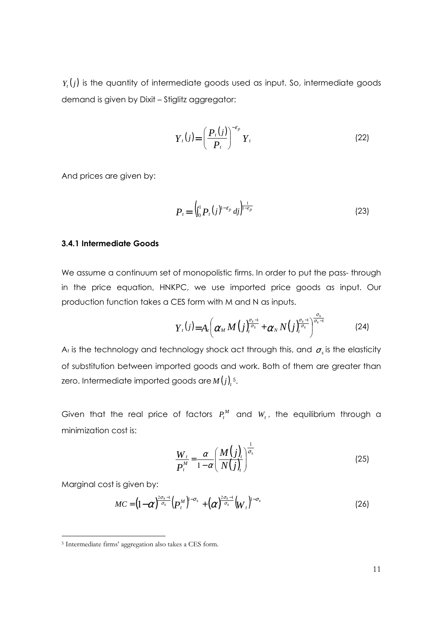$Y_{t}(j)$  is the quantity of intermediate goods used as input. So, intermediate goods demand is given by Dixit - Stiglitz aggregator:

$$
Y_t(j) = \left(\frac{P_t(j)}{P_t}\right)^{-\varepsilon_p} Y_t
$$
\n(22)

And prices are given by:

$$
P_{t} = \left( \int_{0}^{1} P_{t}(j)^{1-\varepsilon_{p}} \, dj \right)^{\frac{1}{1-\varepsilon_{p}}} \tag{23}
$$

## 3.4.1 Intermediate Goods

We assume a continuum set of monopolistic firms. In order to put the pass-through in the price equation, HNKPC, we use imported price goods as input. Our production function takes a CES form with M and N as inputs.

$$
Y_{t}(j)=A_{t}\left(\alpha_{M} M\left(j\right)_{t}^{\frac{\sigma_{s}-1}{\sigma_{s}}}+\alpha_{N} N\left(j\right)_{t}^{\frac{\sigma_{s}-1}{\sigma_{s}}}\right)^{\frac{\sigma_{s}}{\sigma_{s}-1}}
$$
(24)

A<sub>t</sub> is the technology and technology shock act through this, and  $\sigma_s$  is the elasticity of substitution between imported goods and work. Both of them are greater than zero. Intermediate imported goods are  $M(j)_{i}$ <sup>5</sup>.

Given that the real price of factors  $P_t^M$  and  $W_t$ , the equilibrium through a minimization cost is:

$$
\frac{W_t}{P_t^M} = \frac{\alpha}{1-\alpha} \left( \frac{M(j)_t}{N(j)_t} \right)^{\frac{1}{\sigma_s}}
$$
\n(25)

Marginal cost is given by:

$$
MC = \left(1 - \alpha\right)^{\frac{2\sigma_s - 1}{\sigma_s}} \left(P_t^M\right)^{1 - \sigma_s} + \left(\alpha\right)^{\frac{2\sigma_s - 1}{\sigma_s}} \left(W_t\right)^{1 - \sigma_s} \tag{26}
$$

<sup>&</sup>lt;sup>5</sup> Intermediate firms' aggregation also takes a CES form.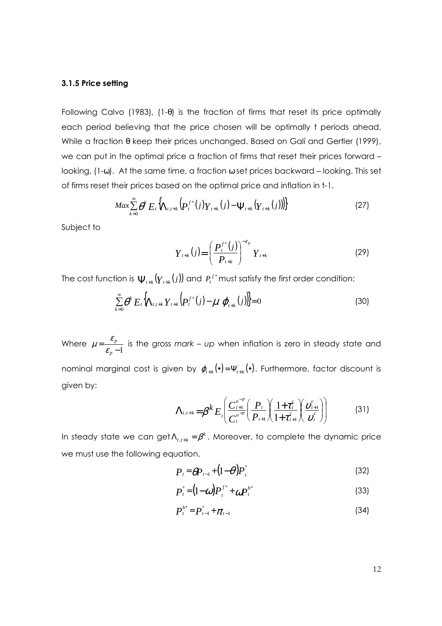#### 3.1.5 Price setting

Following Calvo (1983), (1- $\theta$ ) is the fraction of firms that reset its price optimally each period believing that the price chosen will be optimally t periods ahead. While a fraction θ keep their prices unchanged. Based on Galí and Gertler (1999), we can put in the optimal price a fraction of firms that reset their prices forward looking,  $(1-\omega)$ . At the same time, a fraction  $\omega$  set prices backward - looking. This set of firms reset their prices based on the optimal price and inflation in t-1.

$$
Max \sum_{k=0}^{\infty} \theta^k E_t \Big\{ \Lambda_{t,t+k} \Big( P_t^{f^*}(j) Y_{t+k}(j) - \Psi_{t+k} (Y_{t+k}(j)) \Big) \Big\} \tag{27}
$$

Subject to

$$
Y_{t+k}(j) = \left(\frac{P_t^{f^*}(j)}{P_{t+k}}\right)^{-\varepsilon_p} Y_{t+k}
$$
 (29)

The cost function is  $\Psi_{t+k}(y_{t+k}(j))$  and  $P_t^{f^*}$  must satisfy the first order condition:

$$
\sum_{k=0}^{\infty} \theta^k E_t \Big[ \Lambda_{t,t+k} Y_{t+k} \Big( P_t^{f^*}(j) - \mu \, \varphi_{t+k}(j) \Big) \Big] = 0 \tag{30}
$$

Where  $\mu = \frac{\varepsilon_p}{\varepsilon - 1}$  is the gross mark – up when inflation is zero in steady state and nominal marginal cost is given by  $\varphi_{t+k}(\bullet) = \Psi_{t+k}^{\dagger}(\bullet)$ . Furthermore, factor discount is given by:

$$
\Lambda_{t,t+k} = \beta^k E_t \left( \frac{C_{t+1}^{\sigma^{-\sigma}}}{C_t^{\sigma^{-\sigma}}} \left( \frac{P_t}{P_{t+1}} \right) \left( \frac{1+\tau_t^c}{1+\tau_{t+1}^c} \right) \left( \frac{\nu_{t+1}^c}{\nu_t^c} \right) \right)
$$
(31)

In steady state we can get  $\Lambda_{t,t+k} = \beta^k$ . Moreover, to complete the dynamic price we must use the following equation.

$$
P_t = \theta P_{t-1} + (1-\theta) P_t^*
$$
\n(32)

$$
P_t^* = (1 - \omega) P_t^{f^*} + \omega P_t^{b^*}
$$
 (33)

$$
P_t^{b^*} = P_{t-1}^* + \pi_{t-1}
$$
 (34)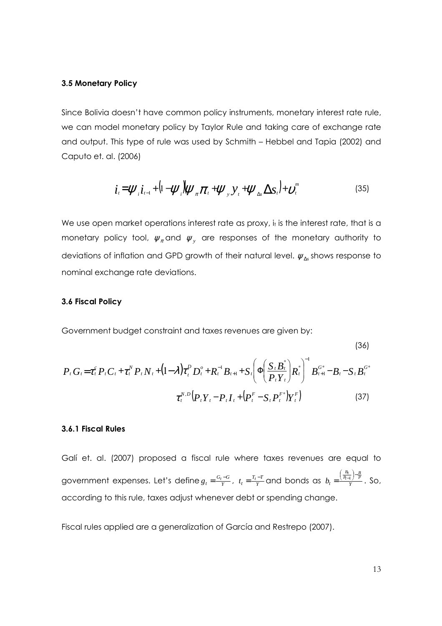#### 3.5 Monetary Policy

Since Bolivia doesn't have common policy instruments, monetary interest rate rule, we can model monetary policy by Taylor Rule and taking care of exchange rate and output. This type of rule was used by Schmith - Hebbel and Tapia (2002) and Caputo et. al. (2006)

$$
\boldsymbol{i}_{t} = \boldsymbol{\psi}_{i} \boldsymbol{i}_{t-1} + (1 - \boldsymbol{\psi}_{i}) \boldsymbol{\psi}_{\pi} \boldsymbol{\pi}_{t} + \boldsymbol{\psi}_{y} \boldsymbol{y}_{t} + \boldsymbol{\psi}_{\Delta s} \boldsymbol{\Delta s}_{t} + \boldsymbol{\nu}_{t}^{m}
$$
(35)

We use open market operations interest rate as proxy, it is the interest rate, that is a monetary policy tool,  $\psi_{\pi}$  and  $\psi_{\nu}$  are responses of the monetary authority to deviations of inflation and GPD growth of their natural level.  $\psi_{\Lambda}$ , shows response to nominal exchange rate deviations.

#### 3.6 Fiscal Policy

Government budget constraint and taxes revenues are given by:

$$
(36)
$$

$$
P_{t} G_{t} = \tau_{t}^{c} P_{t} C_{t} + \tau_{t}^{N} P_{t} N_{t} + (1 - \lambda) \tau_{t}^{D} D_{t}^{o} + R_{t}^{-1} B_{t+1} + S_{t} \left( \Phi \left( \frac{S_{t} B_{t}^{*}}{P_{t} Y_{t}} \right) R_{t}^{*} \right)^{-1} B_{t+1}^{G*} - B_{t} - S_{t} B_{t}^{G*}
$$

$$
\tau_{t}^{N,D} \left( P_{t} Y_{t} - P_{t} I_{t} + \left( P_{t}^{F} - S_{t} P_{t}^{F*} \right) Y_{t}^{F} \right) \tag{37}
$$

## 3.6.1 Fiscal Rules

Galí et. al. (2007) proposed a fiscal rule where taxes revenues are equal to government expenses. Let's define  $g_t = \frac{G_t - G}{Y}$ ,  $t_t = \frac{T_t - T}{Y}$  and bonds as  $b_t = \frac{\left(\frac{B_t}{P_{t-1}}\right) - \frac{B}{Y}}{Y}$ . So, according to this rule, taxes adjust whenever debt or spending change.

Fiscal rules applied are a generalization of García and Restrepo (2007).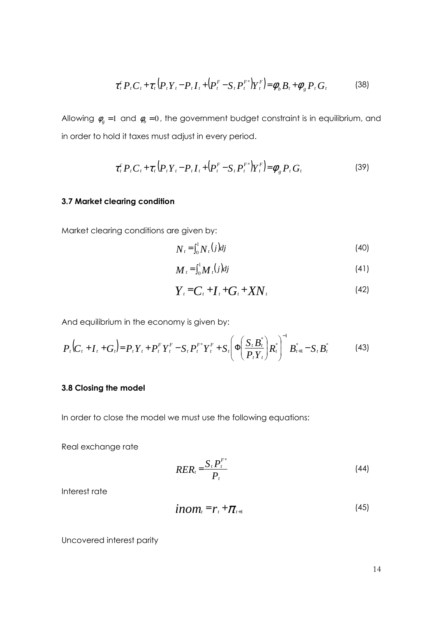$$
\tau_{t}^{c} P_{t} C_{t} + \tau_{t} (P_{t} Y_{t} - P_{t} I_{t} + (P_{t}^{F} - S_{t} P_{t}^{F}) Y_{t}^{F}) = \phi_{b} B_{t} + \phi_{g} P_{t} G_{t}
$$
(38)

Allowing  $\phi_g = 1$  and  $\phi_b = 0$ , the government budget constraint is in equilibrium, and in order to hold it taxes must adjust in every period.

$$
\tau_{t}^{c} P_{t} C_{t} + \tau_{t} (P_{t} Y_{t} - P_{t} I_{t} + (P_{t}^{F} - S_{t} P_{t}^{F}) Y_{t}^{F}) = \phi_{g} P_{t} G_{t}
$$
\n(39)

## 3.7 Market clearing condition

Market clearing conditions are given by:

$$
N_t = \int_0^1 N_t(j)dj \tag{40}
$$

$$
N_{t} = \int_{0}^{1} M_{t}(j)dj
$$
\n(41)

$$
Y_t = C_t + I_t + G_t + XN_t \tag{42}
$$

And equilibrium in the economy is given by:

$$
P_t(C_t + I_t + G_t) = P_t Y_t + P_t^F Y_t^F - S_t P_t^{F*} Y_t^F + S_t \left( \Phi \left( \frac{S_t B_t^*}{P_t Y_t} \right) R_t^* \right)^{-1} B_{t+1}^* - S_t B_t^* \tag{43}
$$

# 3.8 Closing the model

In order to close the model we must use the following equations:

Real exchange rate

$$
RER_t = \frac{S_t P_t^{F^*}}{P_t} \tag{44}
$$

Interest rate

$$
inom_{t} = r_{t} + \pi_{t+1}
$$
 (45)

Uncovered interest parity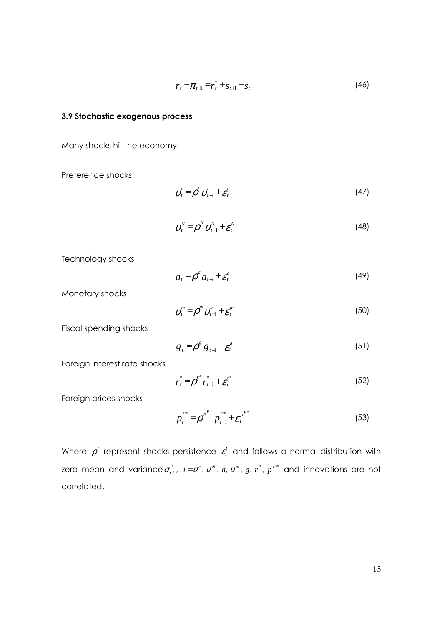$$
r_t - \pi_{t+1} = r_t^* + s_{t+1} - s_t \tag{46}
$$

## 3.9 Stochastic exogenous process

Many shocks hit the economy:

Preference shocks

$$
\boldsymbol{\nu}_t^c = \boldsymbol{\rho}^c \, \boldsymbol{\nu}_{t-1}^c + \boldsymbol{\varepsilon}_t^c \tag{47}
$$

$$
\boldsymbol{v}_t^N = \boldsymbol{\rho}^N \, \boldsymbol{v}_{t-1}^N + \boldsymbol{\varepsilon}_t^N \tag{48}
$$

Technology shocks

$$
a_t = \rho^a a_{t-1} + \varepsilon_t^a \tag{49}
$$

Monetary shocks

$$
\boldsymbol{\upsilon}_{t}^{m} = \boldsymbol{\rho}^{m} \boldsymbol{\upsilon}_{t-1}^{m} + \boldsymbol{\varepsilon}_{t}^{m} \tag{50}
$$

Fiscal spending shocks

$$
g_{t} = \rho^{g} g_{t-1} + \varepsilon^{g}_{t} \tag{51}
$$

Foreign interest rate shocks

$$
r_t^* = \rho^{r^*} r_{t-1}^* + \varepsilon_t^{r^*}
$$
 (52)

Foreign prices shocks

$$
p_t^{F^*} = \rho^{p^{F^*}} p_{t-1}^{F^*} + \varepsilon_t^{p^{F^*}}
$$
 (53)

Where  $\rho^i$  represent shocks persistence  $\varepsilon^i_t$  and follows a normal distribution with zero mean and variance  $\sigma_{i,t}^2$ ,  $i = v^c$ ,  $v^N$ , a,  $v^m$ , g,  $r^*$ ,  $p^{F^*}$  and innovations are not correlated.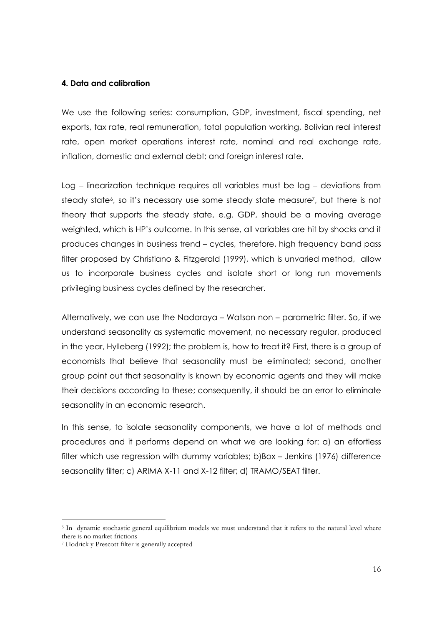#### 4. Data and calibration

We use the following series: consumption, GDP, investment, fiscal spending, net exports, tax rate, real remuneration, total population working, Bolivian real interest rate, open market operations interest rate, nominal and real exchange rate, inflation, domestic and external debt; and foreign interest rate.

Log – linearization technique requires all variables must be log – deviations from steady state<sup>6</sup>, so it's necessary use some steady state measure<sup>7</sup>, but there is not theory that supports the steady state, e.g. GDP, should be a moving average weighted, which is HP's outcome. In this sense, all variables are hit by shocks and it produces changes in business trend – cycles, therefore, high frequency band pass filter proposed by Christiano & Fitzgerald (1999), which is unvaried method, allow us to incorporate business cycles and isolate short or long run movements privileging business cycles defined by the researcher.

Alternatively, we can use the Nadaraya - Watson non - parametric filter. So, if we understand seasonality as systematic movement, no necessary regular, produced in the year, Hylleberg (1992); the problem is, how to treat it? First, there is a group of economists that believe that seasonality must be eliminated; second, another group point out that seasonality is known by economic agents and they will make their decisions according to these; consequently, it should be an error to eliminate seasonality in an economic research.

In this sense, to isolate seasonality components, we have a lot of methods and procedures and it performs depend on what we are looking for: a) an effortless filter which use regression with dummy variables; b)Box - Jenkins (1976) difference seasonality filter; c) ARIMA X-11 and X-12 filter; d) TRAMO/SEAT filter.

<sup>&</sup>lt;sup>6</sup> In dynamic stochastic general equilibrium models we must understand that it refers to the natural level where there is no market frictions

<sup>&</sup>lt;sup>7</sup> Hodrick y Prescott filter is generally accepted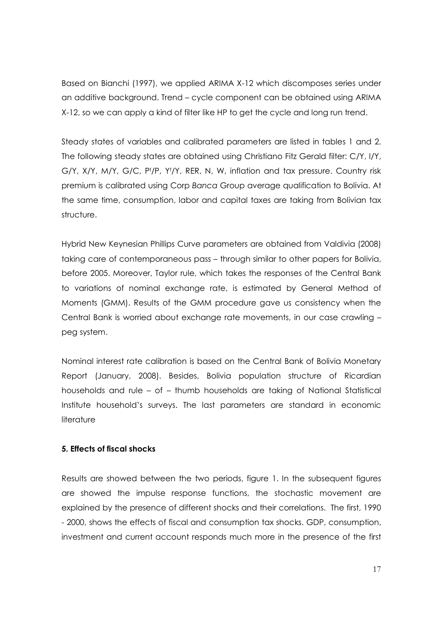Based on Bianchi (1997), we applied ARIMA X-12 which discomposes series under an additive background. Trend - cycle component can be obtained using ARIMA X-12, so we can apply a kind of filter like HP to get the cycle and long run trend.

Steady states of variables and calibrated parameters are listed in tables 1 and 2. The following steady states are obtained using Christiano Fitz Gerald filter: C/Y, I/Y, G/Y, X/Y, M/Y, G/C, Pt/P, Yt/Y, RER, N, W, inflation and tax pressure. Country risk premium is calibrated using Corp Banca Group average qualification to Bolivia. At the same time, consumption, labor and capital taxes are taking from Bolivian tax structure.

Hybrid New Keynesian Phillips Curve parameters are obtained from Valdivia (2008) taking care of contemporaneous pass - through similar to other papers for Bolivia, before 2005. Moreover, Taylor rule, which takes the responses of the Central Bank to variations of nominal exchange rate, is estimated by General Method of Moments (GMM). Results of the GMM procedure gave us consistency when the Central Bank is worried about exchange rate movements, in our case crawling peg system.

Nominal interest rate calibration is based on the Central Bank of Bolivia Monetary Report (January, 2008). Besides, Bolivia population structure of Ricardian households and rule - of - thumb households are taking of National Statistical Institute household's surveys. The last parameters are standard in economic literature

# 5. Effects of fiscal shocks

Results are showed between the two periods, figure 1. In the subsequent figures are showed the impulse response functions, the stochastic movement are explained by the presence of different shocks and their correlations. The first, 1990 - 2000, shows the effects of fiscal and consumption tax shocks. GDP, consumption, investment and current account responds much more in the presence of the first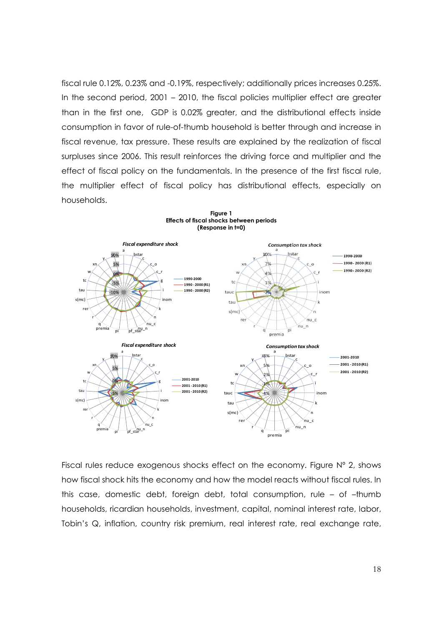fiscal rule 0.12%, 0.23% and -0.19%, respectively; additionally prices increases 0.25%. In the second period,  $2001 - 2010$ , the fiscal policies multiplier effect are greater than in the first one, GDP is 0.02% greater, and the distributional effects inside consumption in favor of rule-of-thumb household is better through and increase in fiscal revenue, tax pressure. These results are explained by the realization of fiscal surpluses since 2006. This result reinforces the driving force and multiplier and the i effect of fiscal policy on the fundamentals. In the presence of the first fiscal rule, the multiplier effect of fiscal policy has distributional effects, especially on households.



Fiscal rules reduce exogenous shocks effect on the economy. Figure  $N^{\circ}$  2, shows how fiscal shock hits the economy and how the model reacts without fiscal rules. In i this case, domestic debt, foreign debt, total consumption, rule  $-$  of  $-$ thumb i households, ricardian households, investment, capital, nominal interest rate, labor, Tobin's Q, inflation, country risk premium, real interest rate, real exchange rate,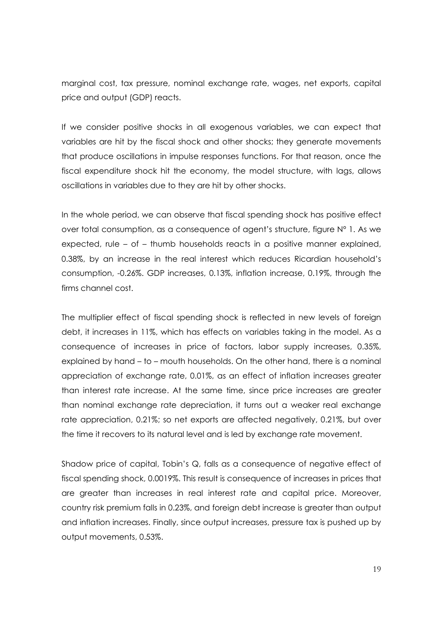marginal cost, tax pressure, nominal exchange rate, wages, net exports, capital price and output (GDP) reacts.

If we consider positive shocks in all exogenous variables, we can expect that variables are hit by the fiscal shock and other shocks; they generate movements that produce oscillations in impulse responses functions. For that reason, once the fiscal expenditure shock hit the economy, the model structure, with lags, allows oscillations in variables due to they are hit by other shocks.

In the whole period, we can observe that fiscal spending shock has positive effect over total consumption, as a consequence of agent's structure, figure N° 1. As we expected, rule - of - thumb households reacts in a positive manner explained, 0.38%, by an increase in the real interest which reduces Ricardian household's consumption, -0.26%. GDP increases, 0.13%, inflation increase, 0.19%, through the firms channel cost.

The multiplier effect of fiscal spending shock is reflected in new levels of foreign debt, it increases in 11%, which has effects on variables taking in the model. As a consequence of increases in price of factors, labor supply increases, 0.35%, explained by hand - to - mouth households. On the other hand, there is a nominal appreciation of exchange rate, 0.01%, as an effect of inflation increases greater than interest rate increase. At the same time, since price increases are greater than nominal exchange rate depreciation, it turns out a weaker real exchange rate appreciation, 0.21%; so net exports are affected negatively, 0.21%, but over the time it recovers to its natural level and is led by exchange rate movement.

Shadow price of capital, Tobin's Q, falls as a consequence of negative effect of fiscal spending shock, 0.0019%. This result is consequence of increases in prices that are greater than increases in real interest rate and capital price. Moreover, country risk premium falls in 0.23%, and foreign debt increase is greater than output and inflation increases. Finally, since output increases, pressure tax is pushed up by output movements, 0.53%.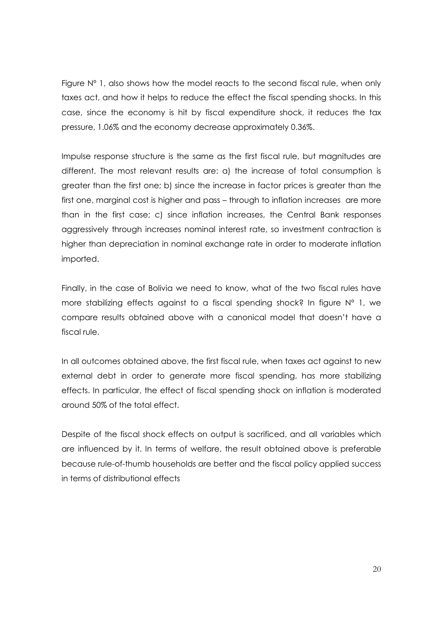Figure  $N^{\circ}$  1, also shows how the model reacts to the second fiscal rule, when only taxes act, and how it helps to reduce the effect the fiscal spending shocks. In this case, since the economy is hit by fiscal expenditure shock, it reduces the tax pressure, 1.06% and the economy decrease approximately 0.36%.

Impulse response structure is the same as the first fiscal rule, but magnitudes are different. The most relevant results are: a) the increase of total consumption is greater than the first one; b) since the increase in factor prices is greater than the first one, marginal cost is higher and pass - through to inflation increases are more than in the first case; c) since inflation increases, the Central Bank responses aggressively through increases nominal interest rate, so investment contraction is higher than depreciation in nominal exchange rate in order to moderate inflation imported.

Finally, in the case of Bolivia we need to know, what of the two fiscal rules have more stabilizing effects against to a fiscal spending shock? In figure N° 1, we compare results obtained above with a canonical model that doesn't have a fiscal rule.

In all outcomes obtained above, the first fiscal rule, when taxes act against to new external debt in order to generate more fiscal spending, has more stabilizing effects. In particular, the effect of fiscal spending shock on inflation is moderated around 50% of the total effect

Despite of the fiscal shock effects on output is sacrificed, and all variables which are influenced by it. In terms of welfare, the result obtained above is preferable because rule-of-thumb households are better and the fiscal policy applied success in terms of distributional effects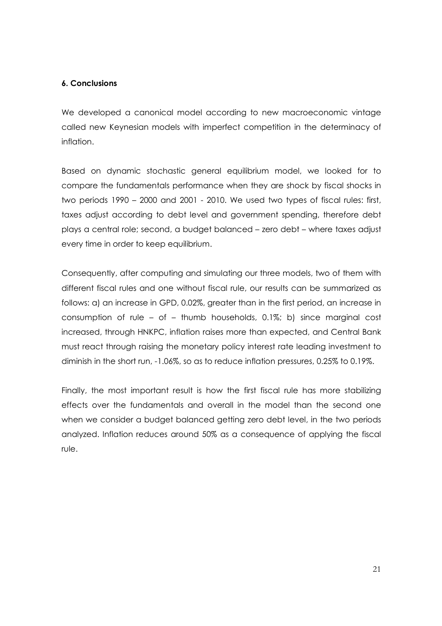# 6. Conclusions

We developed a canonical model according to new macroeconomic vintage called new Keynesian models with imperfect competition in the determinacy of inflation.

Based on dynamic stochastic general equilibrium model, we looked for to compare the fundamentals performance when they are shock by fiscal shocks in two periods 1990 – 2000 and 2001 - 2010. We used two types of fiscal rules: first, taxes adjust according to debt level and government spending, therefore debt plays a central role; second, a budget balanced - zero debt - where taxes adjust every time in order to keep equilibrium.

Consequently, after computing and simulating our three models, two of them with different fiscal rules and one without fiscal rule, our results can be summarized as follows: a) an increase in GPD, 0.02%, greater than in the first period, an increase in consumption of rule - of - thumb households, 0.1%; b) since marginal cost increased, through HNKPC, inflation raises more than expected, and Central Bank must react through raising the monetary policy interest rate leading investment to diminish in the short run, -1.06%, so as to reduce inflation pressures, 0.25% to 0.19%.

Finally, the most important result is how the first fiscal rule has more stabilizing effects over the fundamentals and overall in the model than the second one when we consider a budget balanced getting zero debt level, in the two periods analyzed. Inflation reduces around 50% as a consequence of applying the fiscal rule.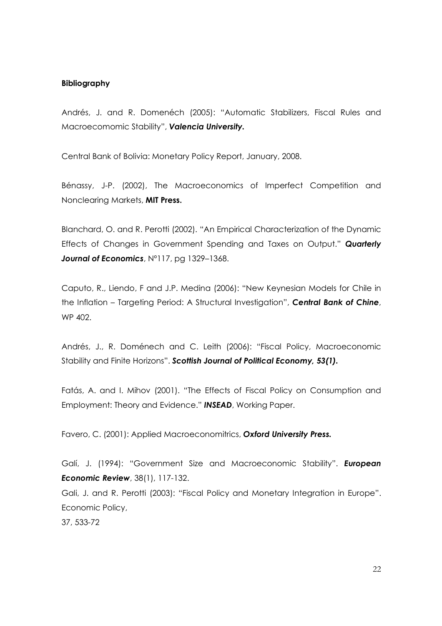#### Bibliography

Andrés, J. and R. Domenéch (2005): "Automatic Stabilizers, Fiscal Rules and Macroecomomic Stability", Valencia University.

Central Bank of Bolivia: Monetary Policy Report, January, 2008.

Bénassy, J-P. (2002), The Macroeconomics of Imperfect Competition and Nonclearing Markets, MIT Press.

Blanchard, O. and R. Perotti (2002). "An Empirical Characterization of the Dynamic Effects of Changes in Government Spending and Taxes on Output." Quarterly Journal of Economics, Nº117, pg 1329-1368.

Caputo, R., Liendo, F and J.P. Medina (2006): "New Keynesian Models for Chile in the Inflation – Targeting Period: A Structural Investigation", Central Bank of Chine, WP 402.

Andrés, J., R. Doménech and C. Leith (2006): "Fiscal Policy, Macroeconomic Stability and Finite Horizons". Scottish Journal of Political Economy, 53(1).

Fatás, A. and I. Mihov (2001). "The Effects of Fiscal Policy on Consumption and Employment: Theory and Evidence." INSEAD, Working Paper.

Favero, C. (2001): Applied Macroeconomitrics, Oxford University Press.

Galí, J. (1994): "Government Size and Macroeconomic Stability". European **Economic Review**, 38(1), 117-132.

Gali, J. and R. Perotti (2003): "Fiscal Policy and Monetary Integration in Europe". Economic Policy,

37.533-72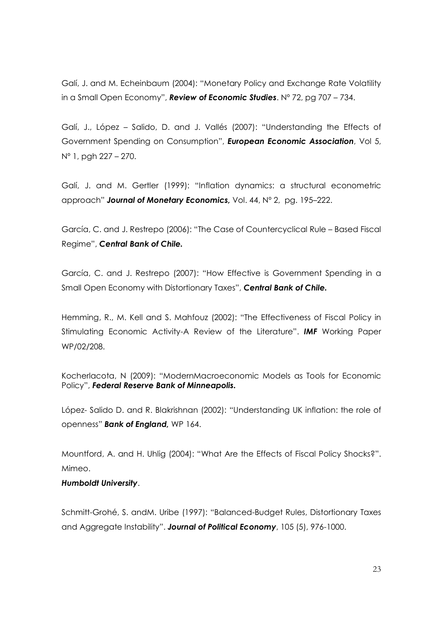Galí, J. and M. Echeinbaum (2004): "Monetary Policy and Exchange Rate Volatility in a Small Open Economy", **Review of Economic Studies**. N° 72, pg 707 – 734.

Galí, J., López – Salido, D. and J. Vallés (2007): "Understanding the Effects of Government Spending on Consumption", European Economic Association, Vol 5,  $N^{\circ}$  1, pgh 227 – 270.

Galí, J. and M. Gertler (1999): "Inflation dynamics: a structural econometric approach" Journal of Monetary Economics, Vol. 44, Nº 2, pg. 195-222.

García, C. and J. Restrepo (2006): "The Case of Countercyclical Rule - Based Fiscal Regime", Central Bank of Chile.

García, C. and J. Restrepo (2007): "How Effective is Government Spending in a Small Open Economy with Distortionary Taxes", Central Bank of Chile.

Hemming, R., M. Kell and S. Mahfouz (2002): "The Effectiveness of Fiscal Policy in Stimulating Economic Activity-A Review of the Literature". **IMF** Working Paper WP/02/208.

Kocherlacota, N (2009): "ModernMacroeconomic Models as Tools for Economic Policy", Federal Reserve Bank of Minneapolis.

López-Salido D. and R. Blakrishnan (2002): "Understanding UK inflation: the role of openness" Bank of England, WP 164.

Mountford, A. and H. Uhlig (2004): "What Are the Effects of Fiscal Policy Shocks?". Mimeo.

# **Humboldt University.**

Schmitt-Grohé, S. andM. Uribe (1997): "Balanced-Budget Rules, Distortionary Taxes and Aggregate Instability". Journal of Political Economy, 105 (5), 976-1000.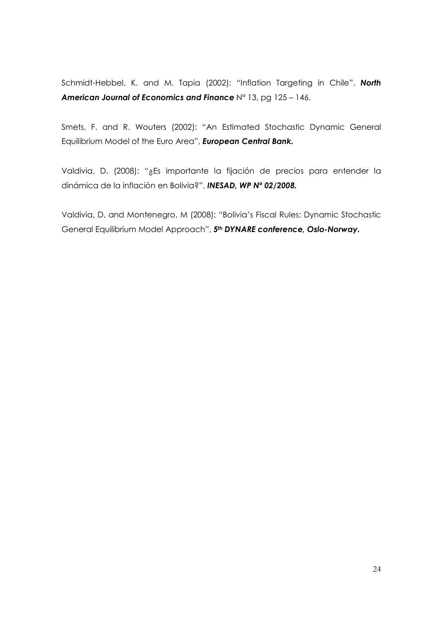Schmidt-Hebbel, K. and M. Tapia (2002): "Inflation Targeting in Chile", North American Journal of Economics and Finance Nº 13, pg 125 - 146.

Smets, F. and R. Wouters (2002): "An Estimated Stochastic Dynamic General Equilibrium Model of the Euro Area", European Central Bank.

Valdivia, D. (2008): "¿Es importante la fijación de precios para entender la dinámica de la inflación en Bolivia?", INESAD, WP Nº 02/2008.

Valdivia, D. and Montenegro, M (2008): "Bolivia's Fiscal Rules: Dynamic Stochastic General Equilibrium Model Approach", 5<sup>th</sup> DYNARE conference, Oslo-Norway.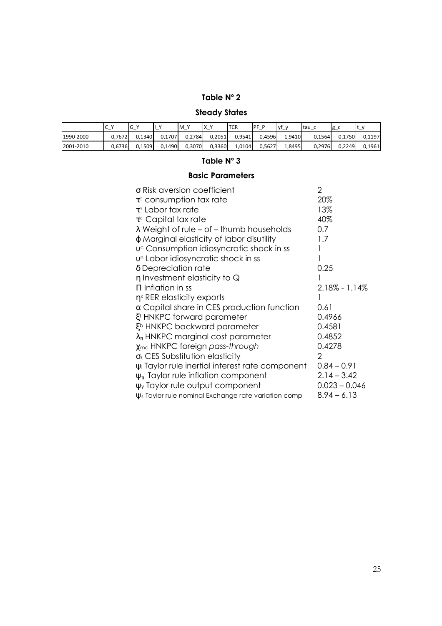# Table N° 2

# **Steady States**

|           | ∽<br>◡<br>- | ∽<br>ט' | $\lambda$<br>- | M<br>$\mathbf{v}$ | $\lambda$<br>ΙX<br>- | <b>TCR</b> | PF P   | lvf<br>$\mathbf{v}$<br>- | ltau.  | $g_{-}$ | $\mathbf{v}$<br>. .<br><u>.</u> |
|-----------|-------------|---------|----------------|-------------------|----------------------|------------|--------|--------------------------|--------|---------|---------------------------------|
| 1990-2000 | 0.7672      | 0.1340  | 0.1707         | 0.2784            | 0.2051               | 0.9541     | 0.4596 | 1.9410                   | 0.1564 | 0.1750  | 0.1197                          |
| 2001-2010 | 0.6736      | 0.1509  | 0.1490         | 0.3070            | 0.3360               | 1.0104     | 0.5627 | 1,8495                   | 0,2976 | 0.2249  | 0.1961                          |

# Table N° 3

# **Basic Parameters**

| $\sigma$ Risk aversion coefficient                                   | 2                 |
|----------------------------------------------------------------------|-------------------|
| $\tau$ <sup>c</sup> consumption tax rate                             | 20%               |
| $\tau^n$ Labor tax rate                                              | 13%               |
| $\tau$ <sup>k</sup> Capital tax rate                                 | 40%               |
| $\lambda$ Weight of rule – of – thumb households                     | 0.7               |
| φ Marginal elasticity of labor disutility                            | 1.7               |
| $vc$ Consumption idiosyncratic shock in ss                           |                   |
| $vn$ Labor idiosyncratic shock in ss                                 |                   |
| δ Depreciation rate                                                  | 0.25              |
| $\eta$ Investment elasticity to Q                                    |                   |
| $\Pi$ Inflation in ss                                                | $2.18\% - 1.14\%$ |
| $\eta$ <sup>x</sup> RER elasticity exports                           |                   |
| $\alpha$ Capital share in CES production function                    | 0.61              |
| Ef HNKPC forward parameter                                           | 0.4966            |
| E <sup>b</sup> HNKPC backward parameter                              | 0.4581            |
| $\lambda_{\pi}$ HNKPC marginal cost parameter                        | 0.4852            |
| $\chi_{\text{mc}}$ HNKPC foreign pass-through                        | 0.4278            |
| $\sigma_s$ CES Substitution elasticity                               | 2                 |
| $\psi$ Taylor rule inertial interest rate component                  | $0.84 - 0.91$     |
| $\psi_{\pi}$ Taylor rule inflation component                         | $2.14 - 3.42$     |
| $\psi$ Taylor rule output component                                  | $0.023 - 0.046$   |
| $\psi$ <sub>s</sub> Taylor rule nominal Exchange rate variation comp | $8.94 - 6.13$     |
|                                                                      |                   |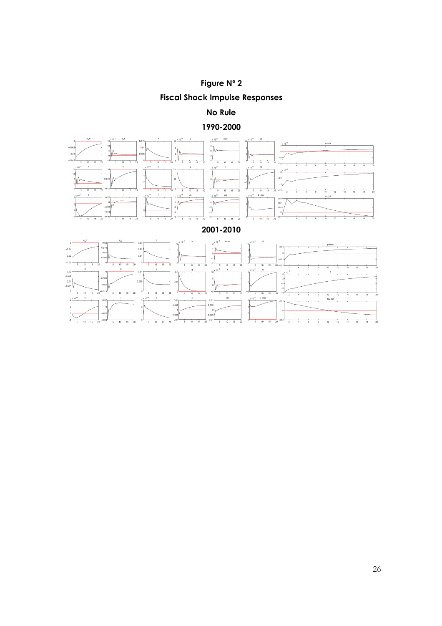Figure N° 2 **Fiscal Shock Impulse Responses** 

No Rule

1990-2000



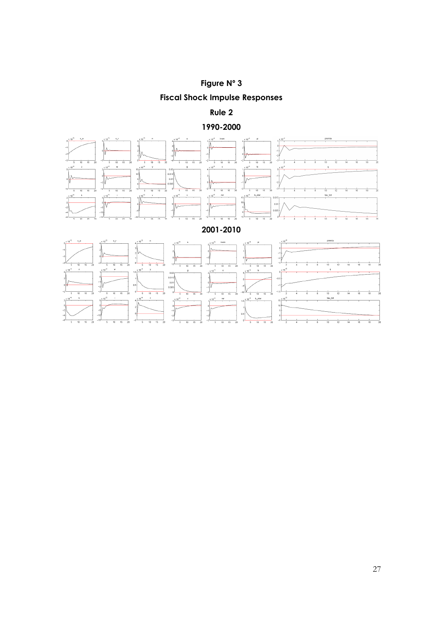

Rule 2

1990-2000



 $\overline{10}$  $\overline{15}$   $rac{1}{16}$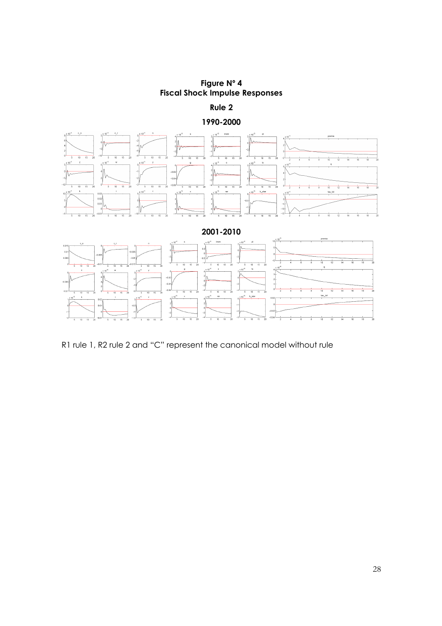Figure Nº 4 **Fiscal Shock Impulse Responses** 

Rule 2







R1 rule 1, R2 rule 2 and "C" represent the canonical model without rule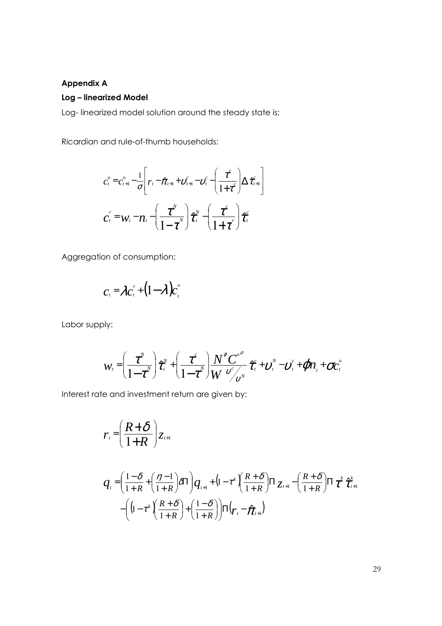# **Appendix A**

#### Log – linearized Model

Log-linearized model solution around the steady state is:

Ricardian and rule-of-thumb households:

$$
c_{t}^{o} = c_{t+1}^{o} - \frac{1}{\sigma} \left[ r_{t} - \hat{\pi}_{t+1} + v_{t+1}^{c} - v_{t}^{c} - \left( \frac{\tau^{c}}{1 + \tau^{c}} \right) \Delta \hat{\tau}_{t+1}^{c} \right]
$$

$$
c_{t}^{r} = w_{t} - n_{t} - \left( \frac{\tau^{w}}{1 - \tau^{w}} \right) \hat{\tau}_{t}^{w} - \left( \frac{\tau^{c}}{1 + \tau^{c}} \right) \hat{\tau}_{t}^{c}
$$

Aggregation of consumption:

$$
c_t = \lambda c_t^r + (1 - \lambda) c_t^o
$$

Labor supply:

$$
w_t = \left(\frac{\tau^N}{1-\tau^N}\right)\hat{\tau}^N_t + \left(\frac{\tau^c}{1-\tau^N}\right)\frac{N^{\varphi}C^{\circ\sigma}}{W^{\circ\sigma}\gamma^c} \hat{\tau}^c_t + \mathcal{D}^N_t - \mathcal{D}^c_t + \mathcal{Q}n_t + \sigma c_t^{\circ\sigma}
$$

Interest rate and investment return are given by:

$$
r_{i} = \left(\frac{R+\delta}{1+R}\right)z_{i+1}
$$

$$
q_{\iota} = \left(\frac{1-\delta}{1+R} + \left(\frac{\eta-1}{1+R}\right)\delta\Pi\right)q_{\iota+1} + \left(1-\tau^{\kappa}\left(\frac{R+\delta}{1+R}\right)\Pi_{Z_{\iota+1}} - \left(\frac{R+\delta}{1+R}\right)\Pi_{\iota}\tau^{\kappa}\hat{\tau}_{\iota+1}^{\kappa}\right) - \left(\left(1-\tau^{\kappa}\left(\frac{R+\delta}{1+R}\right) + \left(\frac{1-\delta}{1+R}\right)\Pi_{\iota}\tau_{\iota} - \hat{\pi}_{\iota+1}\right)\right)
$$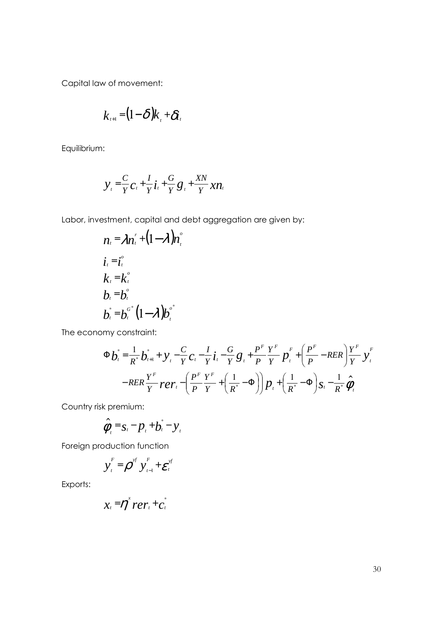Capital law of movement:

$$
k_{t+1} = (1-\delta)k_{t} + \delta t_{t}
$$

Equilibrium:

$$
y_{i} = \frac{C}{Y}C_{i} + \frac{I}{Y}\dot{t}_{i} + \frac{G}{Y}g_{i} + \frac{XN}{Y}xn_{i}
$$

Labor, investment, capital and debt aggregation are given by:

$$
n_{i} = \lambda n_{i}^{r} + (1 - \lambda) n_{i}^{o}
$$
  
\n
$$
i_{i} = i_{i}^{o}
$$
  
\n
$$
k_{i} = k_{i}^{o}
$$
  
\n
$$
b_{i} = b_{i}^{o}
$$
  
\n
$$
b_{i}^{*} = b_{i}^{o^{*}} (1 - \lambda) b_{i}^{o^{*}}
$$

The economy constraint:

$$
\Phi \dot{b}_{t}^{*} = \frac{1}{R^{*}} \dot{b}_{t+1}^{*} + y_{t} - \frac{C}{Y} c_{t} - \frac{I}{Y} \dot{t}_{t} - \frac{G}{Y} g_{t} + \frac{P^{F}}{P} \frac{Y^{F}}{Y} p_{t}^{F} + \left(\frac{P^{F}}{P} - R E R\right) \frac{Y^{F}}{Y} y_{t}^{F}
$$

$$
- R E R \frac{Y^{F}}{Y} P C r_{t} - \left(\frac{P^{F}}{P} \frac{Y^{F}}{Y} + \left(\frac{1}{R^{*}} - \Phi\right)\right) p_{t} + \left(\frac{1}{R^{*}} - \Phi\right) S_{t} - \frac{1}{R^{*}} \hat{\phi}_{t}
$$

Country risk premium:

$$
\hat{\phi}_t = s_t - p_t + b_t - y_t
$$

Foreign production function

$$
y_t^F = \boldsymbol{\rho}^{yf} y_{t-1}^F + \boldsymbol{\varepsilon}_t^{yf}
$$

Exports:

$$
x_t = \eta^x r e r_t + c_t^*
$$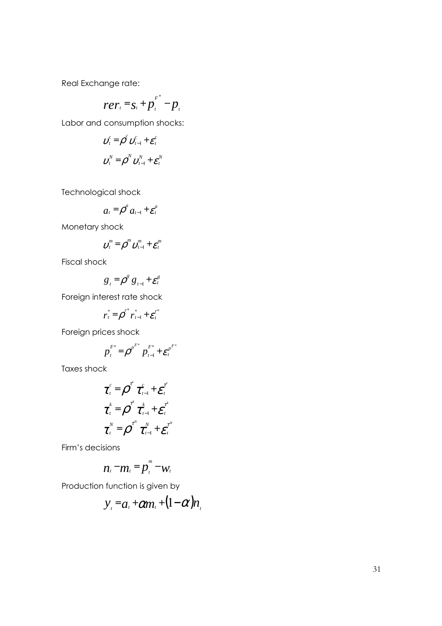Real Exchange rate:

$$
rer_t = s_t + p_t^{F^*} - p_t
$$

Labor and consumption shocks:

$$
\boldsymbol{v}_{t}^{c} = \boldsymbol{\rho}^{c} \boldsymbol{v}_{t-1}^{c} + \boldsymbol{\varepsilon}_{t}^{c}
$$

$$
\boldsymbol{v}_{t}^{N} = \boldsymbol{\rho}^{N} \boldsymbol{v}_{t-1}^{N} + \boldsymbol{\varepsilon}_{t}^{N}
$$

Technological shock

$$
a_t = \rho^a a_{t-1} + \varepsilon_t^a
$$

Monetary shock

$$
\boldsymbol{v}_t^m = \boldsymbol{\rho}^m \boldsymbol{v}_{t-1}^m + \boldsymbol{\varepsilon}_t^m
$$

Fiscal shock

$$
g_t = \rho^g g_{t-1} + \varepsilon^g_t
$$

Foreign interest rate shock

$$
r_t^* = \rho^{r^*} r_{t-1}^* + \varepsilon_t^{r^*}
$$

Foreign prices shock

$$
p_t^{F^*} = \rho^{p^{F^*}} p_{t-1}^{F^*} + \varepsilon_t^{p^{F^*}}
$$

Taxes shock

$$
\tau_t^c = \rho^r \tau_{t-1}^c + \varepsilon_t^r
$$

$$
\tau_t^k = \rho^r \tau_{t-1}^k + \varepsilon_t^r
$$

$$
\tau_t^N = \rho^r \tau_{t-1}^N + \varepsilon_t^r
$$

÷.

Firm's decisions

$$
n_t - m_t = p_t^m - w_t
$$

Production function is given by

$$
y_t = a_t + \alpha m_t + (1 - \alpha) n_t
$$